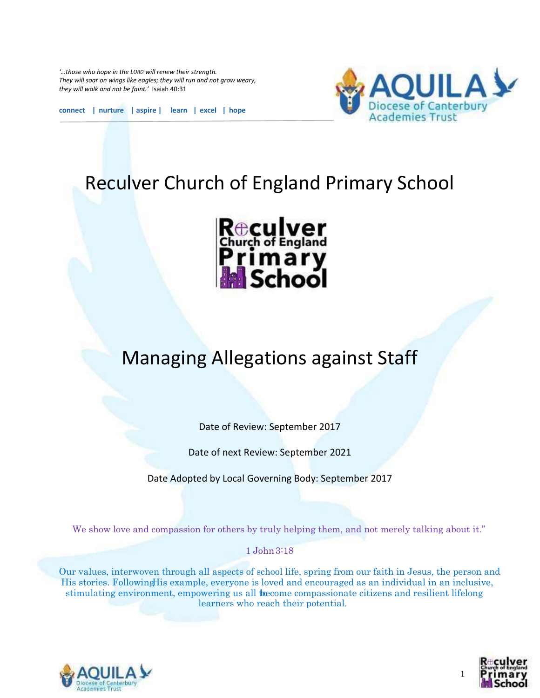*'…those who hope in the LORD will renew their strength. They will soar on wings like eagles; they will run and not grow weary, they will walk and not be faint.'* Isaiah 40:31



**connect | nurture | aspire | learn | excel | hope**

# Reculver Church of England Primary School



# Managing Allegations against Staff

Date of Review: September 2017

Date of next Review: September 2021

Date Adopted by Local Governing Body: September 2017

We show love and compassion for others by truly helping them, and not merely talking about it."

1 John 3:18

Our values, interwoven through all aspects of school life, spring from our faith in Jesus, the person and His stories. Following His example, everyone is loved and encouraged as an individual in an inclusive, stimulating environment, empowering us all to the compassionate citizens and resilient lifelong learners who reach their potential.





1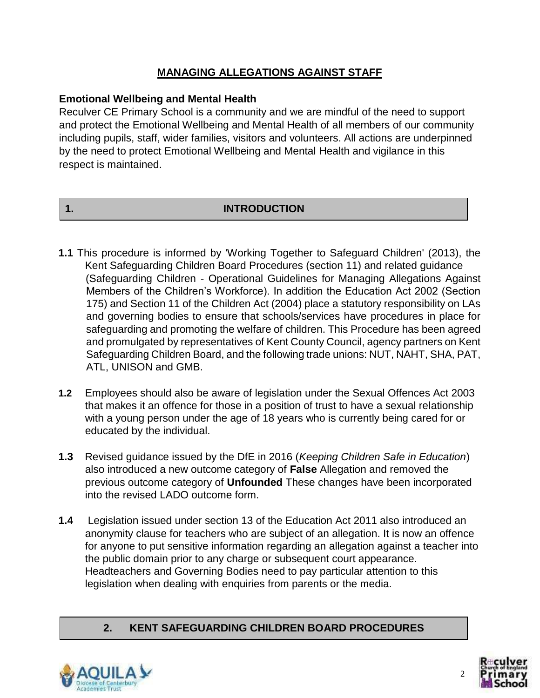# **MANAGING ALLEGATIONS AGAINST STAFF**

### **Emotional Wellbeing and Mental Health**

Reculver CE Primary School is a community and we are mindful of the need to support and protect the Emotional Wellbeing and Mental Health of all members of our community including pupils, staff, wider families, visitors and volunteers. All actions are underpinned by the need to protect Emotional Wellbeing and Mental Health and vigilance in this respect is maintained.

## **1. INTRODUCTION**

- **1.1** This procedure is informed by 'Working Together to Safeguard Children' (2013), the Kent Safeguarding Children Board Procedures (section 11) and related guidance (Safeguarding Children - Operational Guidelines for Managing Allegations Against Members of the Children's Workforce). In addition the Education Act 2002 (Section 175) and Section 11 of the Children Act (2004) place a statutory responsibility on LAs and governing bodies to ensure that schools/services have procedures in place for safeguarding and promoting the welfare of children. This Procedure has been agreed and promulgated by representatives of Kent County Council, agency partners on Kent Safeguarding Children Board, and the following trade unions: NUT, NAHT, SHA, PAT, ATL, UNISON and GMB.
- **1.2** Employees should also be aware of legislation under the Sexual Offences Act 2003 that makes it an offence for those in a position of trust to have a sexual relationship with a young person under the age of 18 years who is currently being cared for or educated by the individual.
- **1.3** Revised guidance issued by the DfE in 2016 (*Keeping Children Safe in Education*) also introduced a new outcome category of **False** Allegation and removed the previous outcome category of **Unfounded** These changes have been incorporated into the revised LADO outcome form.
- **1.4** Legislation issued under section 13 of the Education Act 2011 also introduced an anonymity clause for teachers who are subject of an allegation. It is now an offence for anyone to put sensitive information regarding an allegation against a teacher into the public domain prior to any charge or subsequent court appearance. Headteachers and Governing Bodies need to pay particular attention to this legislation when dealing with enquiries from parents or the media.

# **2. KENT SAFEGUARDING CHILDREN BOARD PROCEDURES**



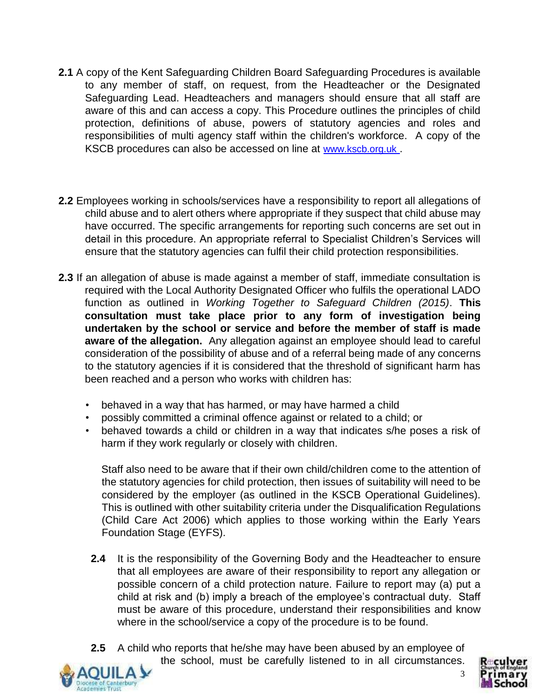- **2.1** A copy of the Kent Safeguarding Children Board Safeguarding Procedures is available to any member of staff, on request, from the Headteacher or the Designated Safeguarding Lead. Headteachers and managers should ensure that all staff are aware of this and can access a copy. This Procedure outlines the principles of child protection, definitions of abuse, powers of statutory agencies and roles and responsibilities of multi agency staff within the children's workforce. A copy of the KSCB procedures can also be accessed on line at [www.kscb.org.uk](http://www.kcpc.org.uk/) [.](http://www.kcpc.org.uk/)
- **2.2** Employees working in schools/services have a responsibility to report all allegations of child abuse and to alert others where appropriate if they suspect that child abuse may have occurred. The specific arrangements for reporting such concerns are set out in detail in this procedure. An appropriate referral to Specialist Children's Services will ensure that the statutory agencies can fulfil their child protection responsibilities.
- **2.3** If an allegation of abuse is made against a member of staff, immediate consultation is required with the Local Authority Designated Officer who fulfils the operational LADO function as outlined in *Working Together to Safeguard Children (2015)*. **This consultation must take place prior to any form of investigation being undertaken by the school or service and before the member of staff is made aware of the allegation.** Any allegation against an employee should lead to careful consideration of the possibility of abuse and of a referral being made of any concerns to the statutory agencies if it is considered that the threshold of significant harm has been reached and a person who works with children has:
	- behaved in a way that has harmed, or may have harmed a child
	- possibly committed a criminal offence against or related to a child; or
	- behaved towards a child or children in a way that indicates s/he poses a risk of harm if they work regularly or closely with children.

Staff also need to be aware that if their own child/children come to the attention of the statutory agencies for child protection, then issues of suitability will need to be considered by the employer (as outlined in the KSCB Operational Guidelines). This is outlined with other suitability criteria under the Disqualification Regulations (Child Care Act 2006) which applies to those working within the Early Years Foundation Stage (EYFS).

- **2.4** It is the responsibility of the Governing Body and the Headteacher to ensure that all employees are aware of their responsibility to report any allegation or possible concern of a child protection nature. Failure to report may (a) put a child at risk and (b) imply a breach of the employee's contractual duty. Staff must be aware of this procedure, understand their responsibilities and know where in the school/service a copy of the procedure is to be found.
- **2.5** A child who reports that he/she may have been abused by an employee of the school, must be carefully listened to in all circumstances.





3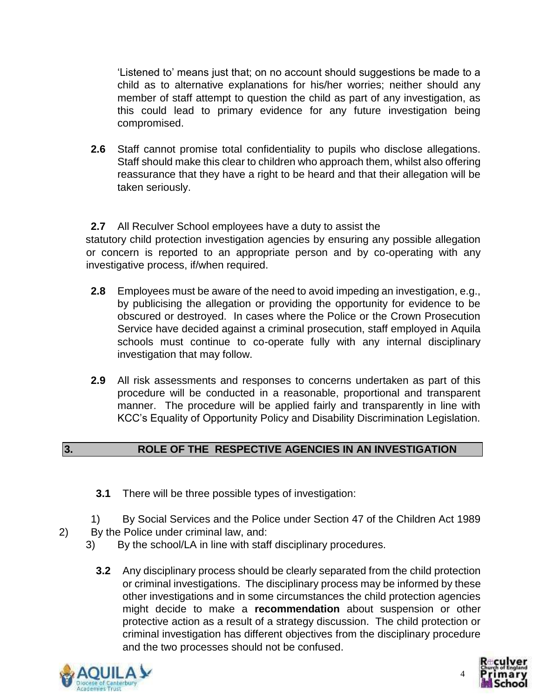'Listened to' means just that; on no account should suggestions be made to a child as to alternative explanations for his/her worries; neither should any member of staff attempt to question the child as part of any investigation, as this could lead to primary evidence for any future investigation being compromised.

**2.6** Staff cannot promise total confidentiality to pupils who disclose allegations. Staff should make this clear to children who approach them, whilst also offering reassurance that they have a right to be heard and that their allegation will be taken seriously.

**2.7** All Reculver School employees have a duty to assist the statutory child protection investigation agencies by ensuring any possible allegation or concern is reported to an appropriate person and by co-operating with any investigative process, if/when required.

- **2.8** Employees must be aware of the need to avoid impeding an investigation, e.g., by publicising the allegation or providing the opportunity for evidence to be obscured or destroyed. In cases where the Police or the Crown Prosecution Service have decided against a criminal prosecution, staff employed in Aquila schools must continue to co-operate fully with any internal disciplinary investigation that may follow.
- **2.9** All risk assessments and responses to concerns undertaken as part of this procedure will be conducted in a reasonable, proportional and transparent manner. The procedure will be applied fairly and transparently in line with KCC's Equality of Opportunity Policy and Disability Discrimination Legislation.

# **3. ROLE OF THE RESPECTIVE AGENCIES IN AN INVESTIGATION**

- **3.1** There will be three possible types of investigation:
- 1) By Social Services and the Police under Section 47 of the Children Act 1989
- 2) By the Police under criminal law, and:
	- 3) By the school/LA in line with staff disciplinary procedures.
		- **3.2** Any disciplinary process should be clearly separated from the child protection or criminal investigations. The disciplinary process may be informed by these other investigations and in some circumstances the child protection agencies might decide to make a **recommendation** about suspension or other protective action as a result of a strategy discussion. The child protection or criminal investigation has different objectives from the disciplinary procedure and the two processes should not be confused.



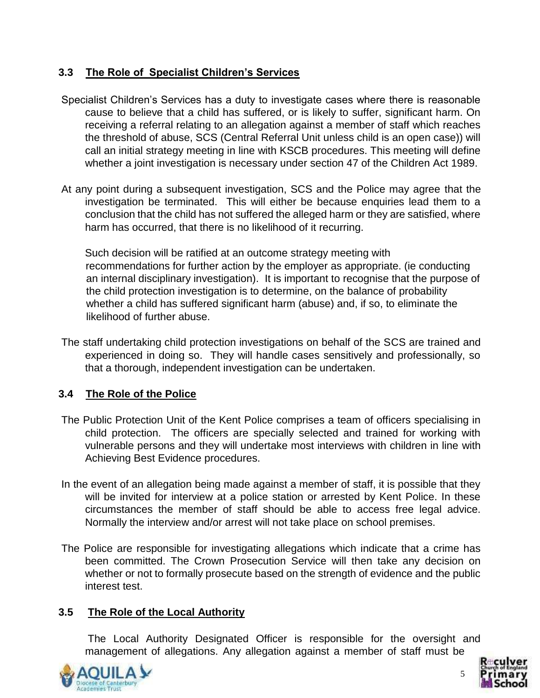# **3.3 The Role of Specialist Children's Services**

- Specialist Children's Services has a duty to investigate cases where there is reasonable cause to believe that a child has suffered, or is likely to suffer, significant harm. On receiving a referral relating to an allegation against a member of staff which reaches the threshold of abuse, SCS (Central Referral Unit unless child is an open case)) will call an initial strategy meeting in line with KSCB procedures. This meeting will define whether a joint investigation is necessary under section 47 of the Children Act 1989.
- At any point during a subsequent investigation, SCS and the Police may agree that the investigation be terminated. This will either be because enquiries lead them to a conclusion that the child has not suffered the alleged harm or they are satisfied, where harm has occurred, that there is no likelihood of it recurring.

 Such decision will be ratified at an outcome strategy meeting with recommendations for further action by the employer as appropriate. (ie conducting an internal disciplinary investigation). It is important to recognise that the purpose of the child protection investigation is to determine, on the balance of probability whether a child has suffered significant harm (abuse) and, if so, to eliminate the likelihood of further abuse.

The staff undertaking child protection investigations on behalf of the SCS are trained and experienced in doing so. They will handle cases sensitively and professionally, so that a thorough, independent investigation can be undertaken.

# **3.4 The Role of the Police**

- The Public Protection Unit of the Kent Police comprises a team of officers specialising in child protection. The officers are specially selected and trained for working with vulnerable persons and they will undertake most interviews with children in line with Achieving Best Evidence procedures.
- In the event of an allegation being made against a member of staff, it is possible that they will be invited for interview at a police station or arrested by Kent Police. In these circumstances the member of staff should be able to access free legal advice. Normally the interview and/or arrest will not take place on school premises.
- The Police are responsible for investigating allegations which indicate that a crime has been committed. The Crown Prosecution Service will then take any decision on whether or not to formally prosecute based on the strength of evidence and the public interest test.

## **3.5 The Role of the Local Authority**

 The Local Authority Designated Officer is responsible for the oversight and management of allegations. Any allegation against a member of staff must be



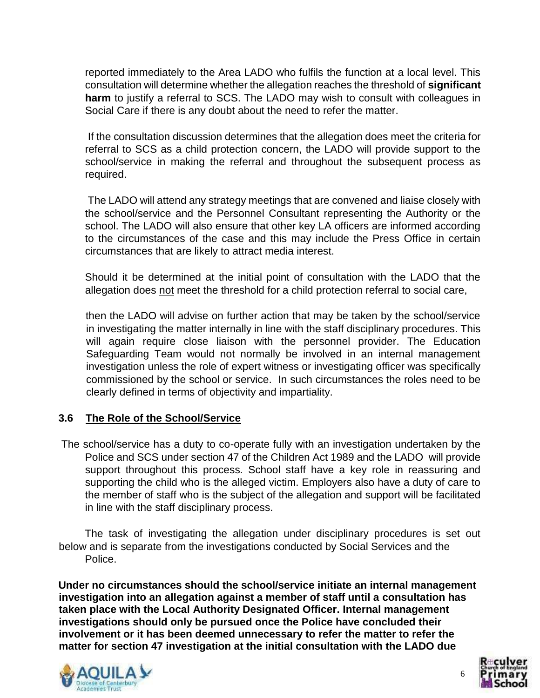reported immediately to the Area LADO who fulfils the function at a local level. This consultation will determine whether the allegation reaches the threshold of **significant harm** to justify a referral to SCS. The LADO may wish to consult with colleagues in Social Care if there is any doubt about the need to refer the matter.

 If the consultation discussion determines that the allegation does meet the criteria for referral to SCS as a child protection concern, the LADO will provide support to the school/service in making the referral and throughout the subsequent process as required.

 The LADO will attend any strategy meetings that are convened and liaise closely with the school/service and the Personnel Consultant representing the Authority or the school. The LADO will also ensure that other key LA officers are informed according to the circumstances of the case and this may include the Press Office in certain circumstances that are likely to attract media interest.

Should it be determined at the initial point of consultation with the LADO that the allegation does not meet the threshold for a child protection referral to social care,

then the LADO will advise on further action that may be taken by the school/service in investigating the matter internally in line with the staff disciplinary procedures. This will again require close liaison with the personnel provider. The Education Safeguarding Team would not normally be involved in an internal management investigation unless the role of expert witness or investigating officer was specifically commissioned by the school or service. In such circumstances the roles need to be clearly defined in terms of objectivity and impartiality.

#### **3.6 The Role of the School/Service**

The school/service has a duty to co-operate fully with an investigation undertaken by the Police and SCS under section 47 of the Children Act 1989 and the LADO will provide support throughout this process. School staff have a key role in reassuring and supporting the child who is the alleged victim. Employers also have a duty of care to the member of staff who is the subject of the allegation and support will be facilitated in line with the staff disciplinary process.

 The task of investigating the allegation under disciplinary procedures is set out below and is separate from the investigations conducted by Social Services and the Police.

**Under no circumstances should the school/service initiate an internal management investigation into an allegation against a member of staff until a consultation has taken place with the Local Authority Designated Officer. Internal management investigations should only be pursued once the Police have concluded their involvement or it has been deemed unnecessary to refer the matter to refer the matter for section 47 investigation at the initial consultation with the LADO due** 





6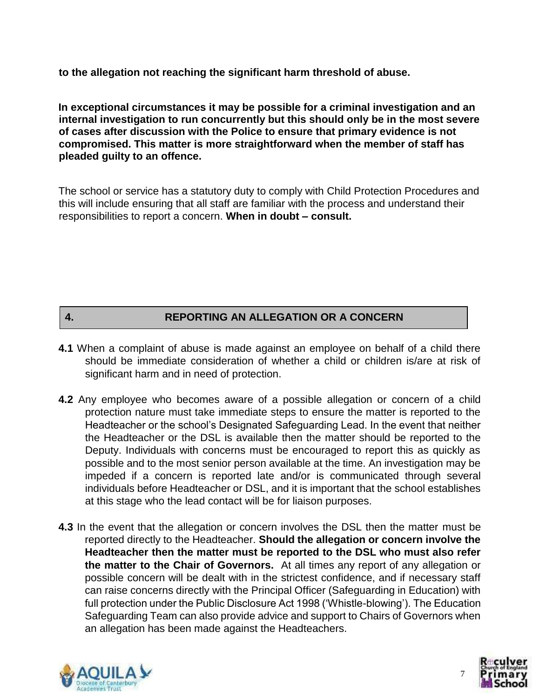**to the allegation not reaching the significant harm threshold of abuse.** 

**In exceptional circumstances it may be possible for a criminal investigation and an internal investigation to run concurrently but this should only be in the most severe of cases after discussion with the Police to ensure that primary evidence is not compromised. This matter is more straightforward when the member of staff has pleaded guilty to an offence.** 

The school or service has a statutory duty to comply with Child Protection Procedures and this will include ensuring that all staff are familiar with the process and understand their responsibilities to report a concern. **When in doubt – consult.** 

## **4. REPORTING AN ALLEGATION OR A CONCERN**

- **4.1** When a complaint of abuse is made against an employee on behalf of a child there should be immediate consideration of whether a child or children is/are at risk of significant harm and in need of protection.
- **4.2** Any employee who becomes aware of a possible allegation or concern of a child protection nature must take immediate steps to ensure the matter is reported to the Headteacher or the school's Designated Safeguarding Lead. In the event that neither the Headteacher or the DSL is available then the matter should be reported to the Deputy. Individuals with concerns must be encouraged to report this as quickly as possible and to the most senior person available at the time. An investigation may be impeded if a concern is reported late and/or is communicated through several individuals before Headteacher or DSL, and it is important that the school establishes at this stage who the lead contact will be for liaison purposes.
- **4.3** In the event that the allegation or concern involves the DSL then the matter must be reported directly to the Headteacher. **Should the allegation or concern involve the Headteacher then the matter must be reported to the DSL who must also refer the matter to the Chair of Governors.** At all times any report of any allegation or possible concern will be dealt with in the strictest confidence, and if necessary staff can raise concerns directly with the Principal Officer (Safeguarding in Education) with full protection under the Public Disclosure Act 1998 ('Whistle-blowing'). The Education Safeguarding Team can also provide advice and support to Chairs of Governors when an allegation has been made against the Headteachers.



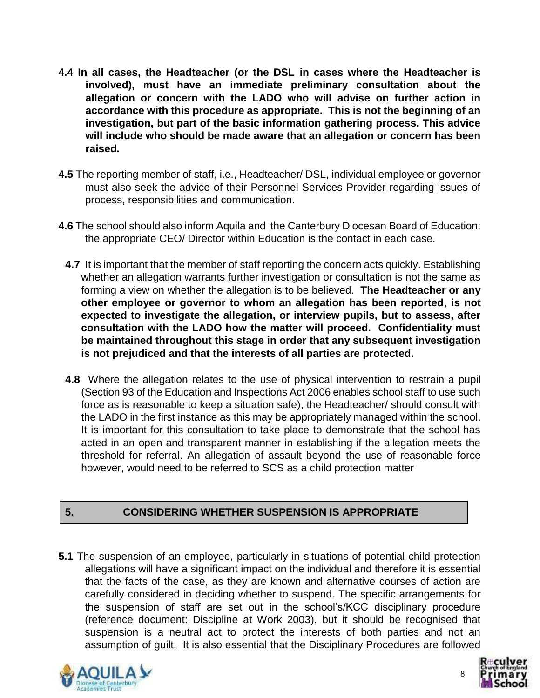- **4.4 In all cases, the Headteacher (or the DSL in cases where the Headteacher is involved), must have an immediate preliminary consultation about the allegation or concern with the LADO who will advise on further action in accordance with this procedure as appropriate. This is not the beginning of an investigation, but part of the basic information gathering process. This advice will include who should be made aware that an allegation or concern has been raised.**
- **4.5** The reporting member of staff, i.e., Headteacher/ DSL, individual employee or governor must also seek the advice of their Personnel Services Provider regarding issues of process, responsibilities and communication.
- **4.6** The school should also inform Aquila and the Canterbury Diocesan Board of Education; the appropriate CEO/ Director within Education is the contact in each case.
	- **4.7** It is important that the member of staff reporting the concern acts quickly. Establishing whether an allegation warrants further investigation or consultation is not the same as forming a view on whether the allegation is to be believed. **The Headteacher or any other employee or governor to whom an allegation has been reported**, **is not expected to investigate the allegation, or interview pupils, but to assess, after consultation with the LADO how the matter will proceed. Confidentiality must be maintained throughout this stage in order that any subsequent investigation is not prejudiced and that the interests of all parties are protected.**
	- **4.8** Where the allegation relates to the use of physical intervention to restrain a pupil (Section 93 of the Education and Inspections Act 2006 enables school staff to use such force as is reasonable to keep a situation safe), the Headteacher/ should consult with the LADO in the first instance as this may be appropriately managed within the school. It is important for this consultation to take place to demonstrate that the school has acted in an open and transparent manner in establishing if the allegation meets the threshold for referral. An allegation of assault beyond the use of reasonable force however, would need to be referred to SCS as a child protection matter

# **5. CONSIDERING WHETHER SUSPENSION IS APPROPRIATE**

**5.1** The suspension of an employee, particularly in situations of potential child protection allegations will have a significant impact on the individual and therefore it is essential that the facts of the case, as they are known and alternative courses of action are carefully considered in deciding whether to suspend. The specific arrangements for the suspension of staff are set out in the school's/KCC disciplinary procedure (reference document: Discipline at Work 2003), but it should be recognised that suspension is a neutral act to protect the interests of both parties and not an assumption of guilt. It is also essential that the Disciplinary Procedures are followed



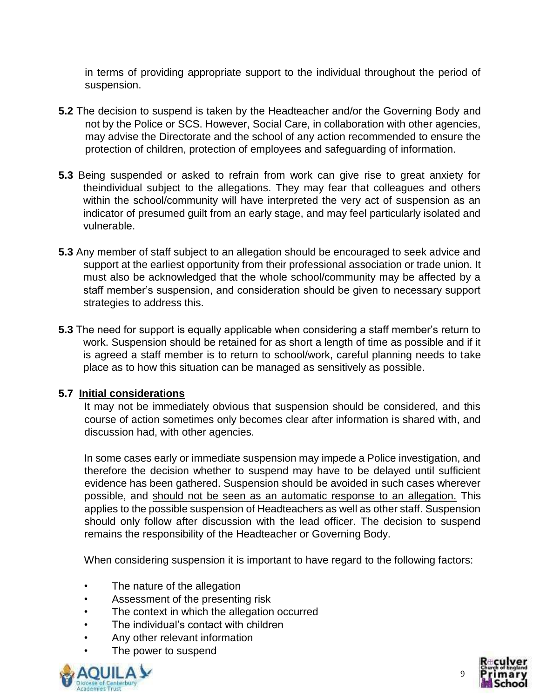in terms of providing appropriate support to the individual throughout the period of suspension.

- **5.2** The decision to suspend is taken by the Headteacher and/or the Governing Body and not by the Police or SCS. However, Social Care, in collaboration with other agencies, may advise the Directorate and the school of any action recommended to ensure the protection of children, protection of employees and safeguarding of information.
- **5.3** Being suspended or asked to refrain from work can give rise to great anxiety for theindividual subject to the allegations. They may fear that colleagues and others within the school/community will have interpreted the very act of suspension as an indicator of presumed guilt from an early stage, and may feel particularly isolated and vulnerable.
- **5.3** Any member of staff subject to an allegation should be encouraged to seek advice and support at the earliest opportunity from their professional association or trade union. It must also be acknowledged that the whole school/community may be affected by a staff member's suspension, and consideration should be given to necessary support strategies to address this.
- **5.3** The need for support is equally applicable when considering a staff member's return to work. Suspension should be retained for as short a length of time as possible and if it is agreed a staff member is to return to school/work, careful planning needs to take place as to how this situation can be managed as sensitively as possible.

#### **5.7 Initial considerations**

It may not be immediately obvious that suspension should be considered, and this course of action sometimes only becomes clear after information is shared with, and discussion had, with other agencies.

In some cases early or immediate suspension may impede a Police investigation, and therefore the decision whether to suspend may have to be delayed until sufficient evidence has been gathered. Suspension should be avoided in such cases wherever possible, and should not be seen as an automatic response to an allegation. This applies to the possible suspension of Headteachers as well as other staff. Suspension should only follow after discussion with the lead officer. The decision to suspend remains the responsibility of the Headteacher or Governing Body.

When considering suspension it is important to have regard to the following factors:

- The nature of the allegation
- Assessment of the presenting risk
- The context in which the allegation occurred
- The individual's contact with children
- Any other relevant information
- The power to suspend



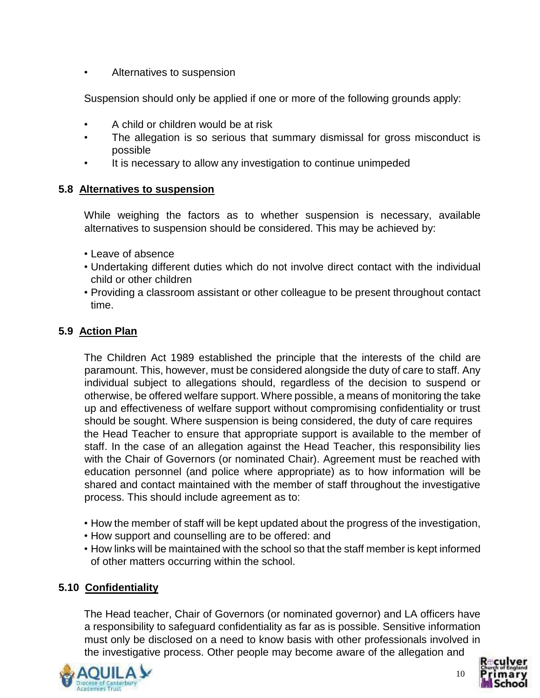• Alternatives to suspension

Suspension should only be applied if one or more of the following grounds apply:

- A child or children would be at risk
- The allegation is so serious that summary dismissal for gross misconduct is possible
- It is necessary to allow any investigation to continue unimpeded

## **5.8 Alternatives to suspension**

While weighing the factors as to whether suspension is necessary, available alternatives to suspension should be considered. This may be achieved by:

- Leave of absence
- Undertaking different duties which do not involve direct contact with the individual child or other children
- Providing a classroom assistant or other colleague to be present throughout contact time.

# **5.9 Action Plan**

The Children Act 1989 established the principle that the interests of the child are paramount. This, however, must be considered alongside the duty of care to staff. Any individual subject to allegations should, regardless of the decision to suspend or otherwise, be offered welfare support. Where possible, a means of monitoring the take up and effectiveness of welfare support without compromising confidentiality or trust should be sought. Where suspension is being considered, the duty of care requires the Head Teacher to ensure that appropriate support is available to the member of staff. In the case of an allegation against the Head Teacher, this responsibility lies with the Chair of Governors (or nominated Chair). Agreement must be reached with education personnel (and police where appropriate) as to how information will be shared and contact maintained with the member of staff throughout the investigative process. This should include agreement as to:

- How the member of staff will be kept updated about the progress of the investigation,
- How support and counselling are to be offered: and
- How links will be maintained with the school so that the staff member is kept informed of other matters occurring within the school.

# **5.10 Confidentiality**

The Head teacher, Chair of Governors (or nominated governor) and LA officers have a responsibility to safeguard confidentiality as far as is possible. Sensitive information must only be disclosed on a need to know basis with other professionals involved in the investigative process. Other people may become aware of the allegation and



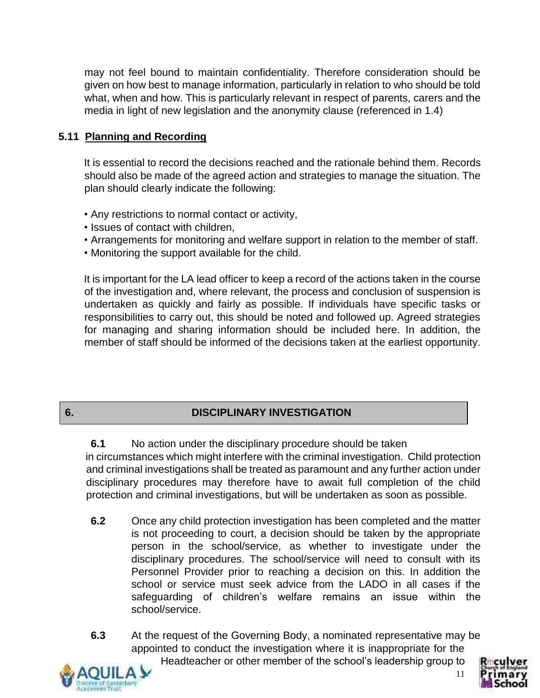may not feel bound to maintain confidentiality. Therefore consideration should be given on how best to manage information, particularly in relation to who should be told what, when and how. This is particularly relevant in respect of parents, carers and the media in light of new legislation and the anonymity clause (referenced in 1.4)

## **5.11 Planning and Recording**

It is essential to record the decisions reached and the rationale behind them. Records should also be made of the agreed action and strategies to manage the situation. The plan should clearly indicate the following:

- Any restrictions to normal contact or activity,
- Issues of contact with children,
- Arrangements for monitoring and welfare support in relation to the member of staff.
- Monitoring the support available for the child.

It is important for the LA lead officer to keep a record of the actions taken in the course of the investigation and, where relevant, the process and conclusion of suspension is undertaken as quickly and fairly as possible. If individuals have specific tasks or responsibilities to carry out, this should be noted and followed up. Agreed strategies for managing and sharing information should be included here. In addition, the member of staff should be informed of the decisions taken at the earliest opportunity.

## **6. DISCIPLINARY INVESTIGATION**

#### **6.1** No action under the disciplinary procedure should be taken in circumstances which might interfere with the criminal investigation. Child protection

and criminal investigations shall be treated as paramount and any further action under disciplinary procedures may therefore have to await full completion of the child protection and criminal investigations, but will be undertaken as soon as possible.

- **6.2** Once any child protection investigation has been completed and the matter is not proceeding to court, a decision should be taken by the appropriate person in the school/service, as whether to investigate under the disciplinary procedures. The school/service will need to consult with its Personnel Provider prior to reaching a decision on this. In addition the school or service must seek advice from the LADO in all cases if the safeguarding of children's welfare remains an issue within the school/service.
- **6.3** At the request of the Governing Body, a nominated representative may be appointed to conduct the investigation where it is inappropriate for the Headteacher or other member of the school's leadership group to

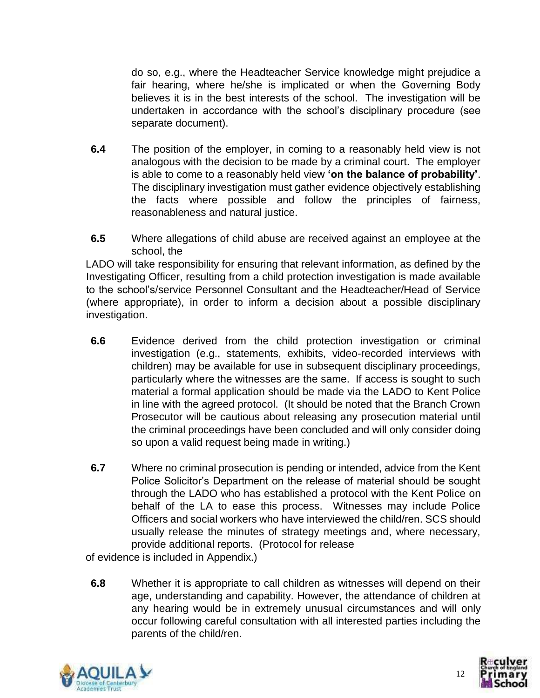do so, e.g., where the Headteacher Service knowledge might prejudice a fair hearing, where he/she is implicated or when the Governing Body believes it is in the best interests of the school. The investigation will be undertaken in accordance with the school's disciplinary procedure (see separate document).

- **6.4** The position of the employer, in coming to a reasonably held view is not analogous with the decision to be made by a criminal court. The employer is able to come to a reasonably held view **'on the balance of probability'**. The disciplinary investigation must gather evidence objectively establishing the facts where possible and follow the principles of fairness, reasonableness and natural justice.
- **6.5** Where allegations of child abuse are received against an employee at the school, the

LADO will take responsibility for ensuring that relevant information, as defined by the Investigating Officer, resulting from a child protection investigation is made available to the school's/service Personnel Consultant and the Headteacher/Head of Service (where appropriate), in order to inform a decision about a possible disciplinary investigation.

- **6.6** Evidence derived from the child protection investigation or criminal investigation (e.g., statements, exhibits, video-recorded interviews with children) may be available for use in subsequent disciplinary proceedings, particularly where the witnesses are the same. If access is sought to such material a formal application should be made via the LADO to Kent Police in line with the agreed protocol. (It should be noted that the Branch Crown Prosecutor will be cautious about releasing any prosecution material until the criminal proceedings have been concluded and will only consider doing so upon a valid request being made in writing.)
- **6.7** Where no criminal prosecution is pending or intended, advice from the Kent Police Solicitor's Department on the release of material should be sought through the LADO who has established a protocol with the Kent Police on behalf of the LA to ease this process. Witnesses may include Police Officers and social workers who have interviewed the child/ren. SCS should usually release the minutes of strategy meetings and, where necessary, provide additional reports. (Protocol for release

of evidence is included in Appendix.)

**6.8** Whether it is appropriate to call children as witnesses will depend on their age, understanding and capability. However, the attendance of children at any hearing would be in extremely unusual circumstances and will only occur following careful consultation with all interested parties including the parents of the child/ren.



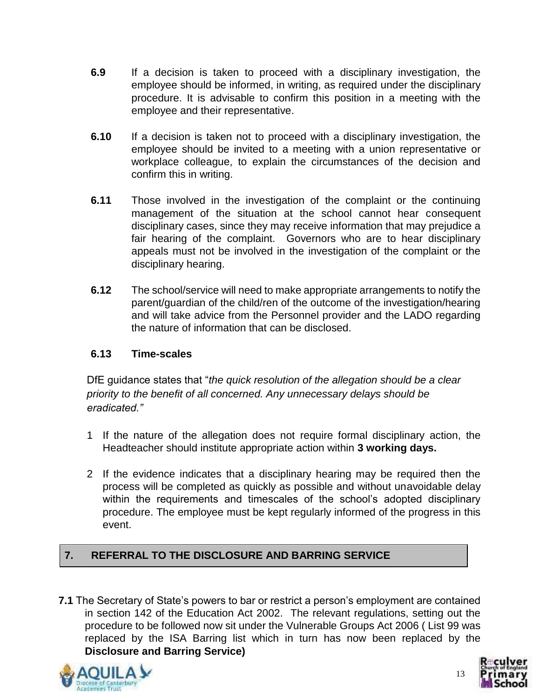- **6.9** If a decision is taken to proceed with a disciplinary investigation, the employee should be informed, in writing, as required under the disciplinary procedure. It is advisable to confirm this position in a meeting with the employee and their representative.
- **6.10** If a decision is taken not to proceed with a disciplinary investigation, the employee should be invited to a meeting with a union representative or workplace colleague, to explain the circumstances of the decision and confirm this in writing.
- **6.11** Those involved in the investigation of the complaint or the continuing management of the situation at the school cannot hear consequent disciplinary cases, since they may receive information that may prejudice a fair hearing of the complaint. Governors who are to hear disciplinary appeals must not be involved in the investigation of the complaint or the disciplinary hearing.
- **6.12** The school/service will need to make appropriate arrangements to notify the parent/guardian of the child/ren of the outcome of the investigation/hearing and will take advice from the Personnel provider and the LADO regarding the nature of information that can be disclosed.

## **6.13 Time-scales**

DfE guidance states that "*the quick resolution of the allegation should be a clear priority to the benefit of all concerned. Any unnecessary delays should be eradicated."*

- 1 If the nature of the allegation does not require formal disciplinary action, the Headteacher should institute appropriate action within **3 working days.**
- 2 If the evidence indicates that a disciplinary hearing may be required then the process will be completed as quickly as possible and without unavoidable delay within the requirements and timescales of the school's adopted disciplinary procedure. The employee must be kept regularly informed of the progress in this event.

# **7. REFERRAL TO THE DISCLOSURE AND BARRING SERVICE**

**7.1** The Secretary of State's powers to bar or restrict a person's employment are contained in section 142 of the Education Act 2002. The relevant regulations, setting out the procedure to be followed now sit under the Vulnerable Groups Act 2006 ( List 99 was replaced by the ISA Barring list which in turn has now been replaced by the **Disclosure and Barring Service)**



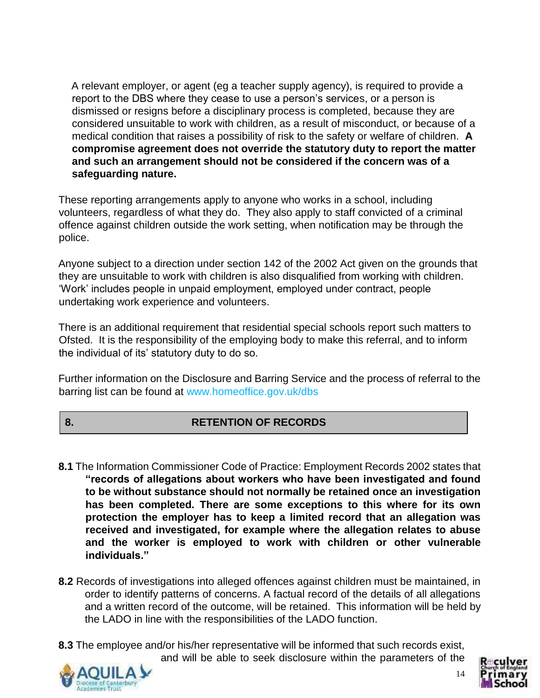A relevant employer, or agent (eg a teacher supply agency), is required to provide a report to the DBS where they cease to use a person's services, or a person is dismissed or resigns before a disciplinary process is completed, because they are considered unsuitable to work with children, as a result of misconduct, or because of a medical condition that raises a possibility of risk to the safety or welfare of children. **A compromise agreement does not override the statutory duty to report the matter and such an arrangement should not be considered if the concern was of a safeguarding nature.**

These reporting arrangements apply to anyone who works in a school, including volunteers, regardless of what they do. They also apply to staff convicted of a criminal offence against children outside the work setting, when notification may be through the police.

Anyone subject to a direction under section 142 of the 2002 Act given on the grounds that they are unsuitable to work with children is also disqualified from working with children. 'Work' includes people in unpaid employment, employed under contract, people undertaking work experience and volunteers.

There is an additional requirement that residential special schools report such matters to Ofsted. It is the responsibility of the employing body to make this referral, and to inform the individual of its' statutory duty to do so.

Further information on the Disclosure and Barring Service and the process of referral to the barring list can be found at www.homeoffice.gov.uk/dbs

# **8. RETENTION OF RECORDS**

- **8.1** The Information Commissioner Code of Practice: Employment Records 2002 states that **"records of allegations about workers who have been investigated and found to be without substance should not normally be retained once an investigation has been completed. There are some exceptions to this where for its own protection the employer has to keep a limited record that an allegation was received and investigated, for example where the allegation relates to abuse and the worker is employed to work with children or other vulnerable individuals."**
- **8.2** Records of investigations into alleged offences against children must be maintained, in order to identify patterns of concerns. A factual record of the details of all allegations and a written record of the outcome, will be retained. This information will be held by the LADO in line with the responsibilities of the LADO function.
- **8.3** The employee and/or his/her representative will be informed that such records exist, and will be able to seek disclosure within the parameters of the



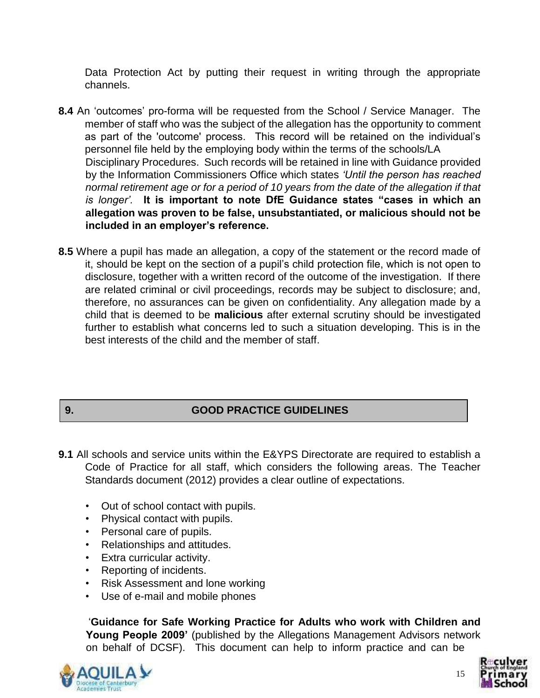Data Protection Act by putting their request in writing through the appropriate channels.

- **8.4** An 'outcomes' pro-forma will be requested from the School / Service Manager. The member of staff who was the subject of the allegation has the opportunity to comment as part of the 'outcome' process. This record will be retained on the individual's personnel file held by the employing body within the terms of the schools/LA Disciplinary Procedures. Such records will be retained in line with Guidance provided by the Information Commissioners Office which states *'Until the person has reached normal retirement age or for a period of 10 years from the date of the allegation if that is longer'.* **It is important to note DfE Guidance states "cases in which an allegation was proven to be false, unsubstantiated, or malicious should not be included in an employer's reference.**
- **8.5** Where a pupil has made an allegation, a copy of the statement or the record made of it, should be kept on the section of a pupil's child protection file, which is not open to disclosure, together with a written record of the outcome of the investigation. If there are related criminal or civil proceedings, records may be subject to disclosure; and, therefore, no assurances can be given on confidentiality. Any allegation made by a child that is deemed to be **malicious** after external scrutiny should be investigated further to establish what concerns led to such a situation developing. This is in the best interests of the child and the member of staff.

## **9. GOOD PRACTICE GUIDELINES**

- **9.1** All schools and service units within the E&YPS Directorate are required to establish a Code of Practice for all staff, which considers the following areas. The Teacher Standards document (2012) provides a clear outline of expectations.
	- Out of school contact with pupils.
	- Physical contact with pupils.
	- Personal care of pupils.
	- Relationships and attitudes.
	- Extra curricular activity.
	- Reporting of incidents.
	- Risk Assessment and lone working
	- Use of e-mail and mobile phones

'**Guidance for Safe Working Practice for Adults who work with Children and Young People 2009'** (published by the Allegations Management Advisors network on behalf of DCSF). This document can help to inform practice and can be